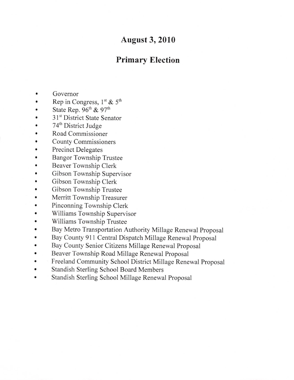## August 3,2010

## Primary Election

- a Governor
- a Rep in Congress,  $1^{st}$  &  $5^{th}$
- a State Rep.  $96<sup>th</sup>$  &  $97<sup>th</sup>$
- a 31<sup>st</sup> District State Senator
- a 74<sup>th</sup> District Judge
- a Road Commissioner
- a County Commissioners
- a Precinct Delegates
- a Bangor Township Trustee
- a Beaver Township Clerk
- a Gibson Township Supervisor
- a Gibson Township Clerk
- a Gibson Township Trustee
- a Merritt Township Treasurer
- o Pinconning Township Clerk
- a Williams Township Supervisor
- a Williams Township Trustee
- o Bay Metro Transportation Authority Millage Renewal Proposal
- a Bay County 911 Central Dispatch Millage Renewal Proposal
- Bay County Senior Citizens Millage Renewal Proposal ٠
- a Beaver Township Road Millage Renewal Proposal
- a Freeland Community School District Millage Renewal Proposal
- a Standish Sterling School Board Members
- Standish Sterling School Millage Renewal Proposal $\bullet$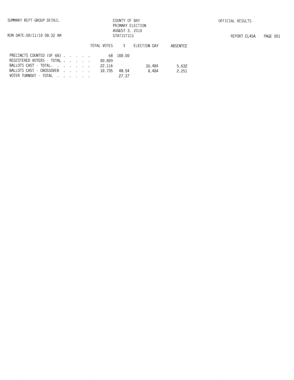## COUNTY OF BAY PRIMARY ELECTION<br>AUGUST 3, 2010 STATISTICS

| RUN DATE:08/11/10 08:32 AM |  |
|----------------------------|--|
|                            |  |

|                                                                  |  |  | TOTAL VOTES %    |       | ELECTION DAY | ABSENTEE |
|------------------------------------------------------------------|--|--|------------------|-------|--------------|----------|
| PRECINCTS COUNTED (OF 68) 68 100.00<br>REGISTERED VOTERS - TOTAL |  |  |                  |       |              |          |
| BALLOTS CAST - TOTAL.                                            |  |  | 80.809<br>22.116 |       | 16.484       | 5.632    |
| BALLOTS CAST - CROSSOVER                                         |  |  | 10.735           | 48.54 | 8.484        | 2.251    |
| VOTER TURNOUT - TOTAL                                            |  |  |                  | 27.37 |              |          |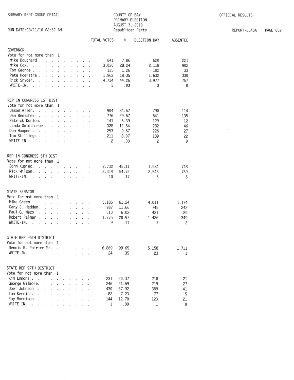| SUMMARY REPT-GROUP DETAIL                                                  |                      |                             |         |                      |    |  |              | COUNTY OF BAY<br>PRIMARY ELECTION<br>AUGUST 3, 2010 |              |                 |  |  |  |
|----------------------------------------------------------------------------|----------------------|-----------------------------|---------|----------------------|----|--|--------------|-----------------------------------------------------|--------------|-----------------|--|--|--|
| RUN DATE:08/11/10 08:32 AM                                                 |                      |                             |         | Republican Party     |    |  |              |                                                     |              |                 |  |  |  |
|                                                                            |                      |                             |         |                      |    |  | TOTAL VOTES  | $\boldsymbol{\mathcal{X}}$                          | ELECTION DAY | <b>ABSENTEE</b> |  |  |  |
| <b>GOVERNOR</b>                                                            |                      |                             |         |                      |    |  |              |                                                     |              |                 |  |  |  |
| Vote for not more than 1<br>Mike Bouchard.                                 |                      |                             |         |                      |    |  |              |                                                     |              |                 |  |  |  |
| $\sim$ $\sim$<br>Mike Cox.                                                 | $\cdot$              | $\mathbb{R}^2$              | ä.      |                      |    |  | 841<br>3,020 | 7.86<br>28.24                                       | 620<br>2.118 | 221             |  |  |  |
| the control of the con-<br>$\omega$<br>Tom George.                         |                      |                             |         |                      |    |  | 135          | 1.26                                                | 102          | 902<br>33       |  |  |  |
| $\mathcal{L}$<br>$\ddot{\phantom{0}}$<br>Pete Hoekstra.<br>.               |                      | $\sim$                      |         | $\cdot$ $\cdot$      |    |  | 1,962        | 18.35                                               | 1,632        |                 |  |  |  |
| Rick Snyder.<br>l.                                                         |                      |                             |         |                      |    |  | 4.734        | 44.26                                               | 3.977        | 330<br>757      |  |  |  |
| $\ddot{\phantom{0}}$<br>$\ddot{\phantom{0}}$<br>WRITE-IN.                  | ÷.                   | $\ddot{\phantom{0}}$        | $\sim$  | ¥.                   | v. |  | 3            | .03                                                 | 3            | $\bf{0}$        |  |  |  |
| $\ddot{\phantom{1}}$<br>ä,<br>$\ddot{\phantom{a}}$<br>$\ddot{\phantom{a}}$ |                      | ä,                          | $\cdot$ | ¥                    |    |  |              |                                                     |              |                 |  |  |  |
| REP IN CONGRESS 1ST DIST                                                   |                      |                             |         |                      |    |  |              |                                                     |              |                 |  |  |  |
| Vote for not more than 1                                                   |                      |                             |         |                      |    |  |              |                                                     |              |                 |  |  |  |
| Jason Allen.<br>$\cdot$ $\cdot$<br>÷.                                      | ÷                    |                             |         |                      |    |  | 904          | 34.57                                               | 790          | 114             |  |  |  |
| Dan Benishek<br>$\sim$<br>$\sim$<br>V.                                     | $\sim$               | $\mathbf{L}$                |         | $\cdot$ $\cdot$      | ÷  |  | 776          | 29.67                                               | 641          | 135             |  |  |  |
| Patrick Donlon.<br>$\ddot{\phantom{0}}$<br>$\ddot{\phantom{a}}$            | $\ddot{\phantom{a}}$ | $\ddot{\phantom{a}}$        | $\sim$  | $\ddot{\phantom{a}}$ |    |  | 141          | 5.39                                                | 129          | 12              |  |  |  |
| Linda Goldthorpe.<br>$\overline{\bullet}$                                  | $\ddot{\phantom{0}}$ | ÷                           |         | $\mathbf{r}$         |    |  | 328          | 12.54                                               | 282          | 46              |  |  |  |
| Don Hooper.<br>$\ddot{\phantom{a}}$<br>$\sim$                              |                      |                             |         |                      |    |  | 253          | 9.67                                                | 226          | 27              |  |  |  |
| Tom Stillings.<br>÷.                                                       | $\ddot{\phantom{0}}$ | $\cdot$                     | $\sim$  | $\sim$               |    |  | 211          | 8.07                                                | 189          | 22              |  |  |  |
| WRITE-IN.<br>ù.<br>¥<br>$\cdot$                                            | $\cdot$ $\cdot$      | $\mathcal{L}_{\mathcal{A}}$ |         | $\cdot$ $\cdot$      |    |  | 2            | .08                                                 | 2            | $\bf{0}$        |  |  |  |
| REP IN CONGRESS 5TH DIST                                                   |                      |                             |         |                      |    |  |              |                                                     |              |                 |  |  |  |
| Vote for not more than 1                                                   |                      |                             |         |                      |    |  |              |                                                     |              |                 |  |  |  |
| John Kupiec.<br>$\cdot$ $\cdot$ $\cdot$ $\cdot$                            |                      | $\cdot$                     |         | $\cdot$ $\cdot$      |    |  | 2,732        | 45.11                                               | 1.984        | 748             |  |  |  |
| Rick Wilson.<br>V.<br>$\sim$ $\sim$                                        |                      |                             |         |                      |    |  | 3.314        | 54.72                                               | 2.545        | 769             |  |  |  |
| WRITE-IN.<br>$\sim$<br>$\sim$<br>÷.                                        | $\sim$               | u.                          | v.      | $\sim$               | ×. |  | 10           | .17                                                 | 5            | 5               |  |  |  |
|                                                                            |                      |                             |         |                      |    |  |              |                                                     |              |                 |  |  |  |
| STATE SENATOR                                                              |                      |                             |         |                      |    |  |              |                                                     |              |                 |  |  |  |
| Vote for not more than                                                     | <sup>1</sup>         |                             |         |                      |    |  |              |                                                     |              |                 |  |  |  |
| Mike Green.<br>$\cdot$<br>¥                                                | $\bar{\nu}$          |                             |         |                      |    |  | 5,185        | 61.24                                               | 4,011        | 1,174           |  |  |  |
| Gary J. Hadden.<br>$\cdot$ $\cdot$ $\cdot$                                 |                      | $\ddot{\phantom{a}}$        | x.      |                      |    |  | 987          | 11.66                                               | 745          | 242             |  |  |  |
| Paul G. Mezo<br>$\overline{a}$                                             |                      |                             |         |                      |    |  | 510          | 6.02                                                | 421          | 89              |  |  |  |
| Robert Palmer .<br>÷.<br>$\sim$                                            |                      |                             |         |                      |    |  | 1.775        | 20.97                                               | 1.426        | 349             |  |  |  |
| WRITE-IN.<br>the contract of the contract of the                           |                      |                             |         |                      |    |  | 9            | $\overline{11}$                                     | 7            | 2               |  |  |  |
| STATE REP 96TH DISTRICT                                                    |                      |                             |         |                      |    |  |              |                                                     |              |                 |  |  |  |
| Vote for not more than 1                                                   |                      |                             |         |                      |    |  |              |                                                     |              |                 |  |  |  |
| Dennis R. Poirier Sr.                                                      |                      |                             |         |                      |    |  | 6,869 99.65  |                                                     | 5,158        | 1,711           |  |  |  |
| WRITE-IN.                                                                  |                      |                             |         |                      |    |  |              | 24 .35                                              | 23           | $\mathbf{1}$    |  |  |  |
|                                                                            |                      |                             |         |                      |    |  |              |                                                     |              |                 |  |  |  |
| STATE REP 97TH DISTRICT                                                    |                      |                             |         |                      |    |  |              |                                                     |              |                 |  |  |  |

231 20.37

246 21.69

430 37.92

82

144

 $\mathbf{1}$ 

7.23

12.70

.09

Vote for not more than 1

Kim Emmons . . . . . . . . . .

WRITE-IN. . . . . . . . . . .

21

27

41

5

 $21$ 

 $\pmb{0}$ 

210

219

389

77

123

 $\mathbf{1}$ 

 $\sim$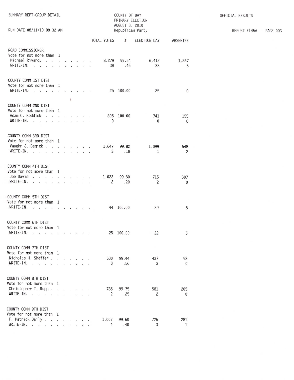| SUMMARY REPT-GROUP DETAIL<br>RUN DATE: 08/11/10 08:32 AM                                                                                      |                      |                      |                      | COUNTY OF BAY<br>PRIMARY ELECTION<br>AUGUST 3, 2010<br>Republican Party |                                |  |                         |              |                     |                     |  |
|-----------------------------------------------------------------------------------------------------------------------------------------------|----------------------|----------------------|----------------------|-------------------------------------------------------------------------|--------------------------------|--|-------------------------|--------------|---------------------|---------------------|--|
|                                                                                                                                               |                      |                      |                      |                                                                         |                                |  | TOTAL VOTES             | %            | ELECTION DAY        | ABSENTEE            |  |
| ROAD COMMISSIONER<br>Vote for not more than 1<br>Michael Rivard.<br>$WRITE-IN.$                                                               |                      |                      |                      |                                                                         | $1 - 1 - 1 = 1$                |  | 8.279<br>38             | 99.54<br>.46 | 6.412<br>33         | 1,867<br>5          |  |
| COUNTY COMM 1ST DIST<br>Vote for not more than 1<br>$WRITE-IN.$                                                                               |                      | $\mathbf{r}$         | $\mathbf{L}$         |                                                                         |                                |  |                         | 25 100.00    | 25                  | 0                   |  |
| COUNTY COMM 2ND DIST<br>Vote for not more than 1<br>Adam C. Reddick<br>$WRITE-IN.$<br>÷                                                       | a.                   |                      |                      |                                                                         | a contract and the contract of |  | $\mathbf{0}$            | 896 100.00   | 741<br>$\mathbf{0}$ | 155<br>0            |  |
| COUNTY COMM 3RD DIST<br>Vote for not more than 1<br>Vaughn J. Begick<br>WRITE-IN.<br>the company of the com-                                  |                      |                      |                      |                                                                         | .                              |  | 1.647<br>3              | 99.82<br>.18 | 1,099<br>1          | 548<br>2            |  |
| COUNTY COMM 4TH DIST<br>Vote for not more than 1<br>Joe Davis<br>$WRITE-IN.$                                                                  |                      |                      |                      |                                                                         | a contractor                   |  | 1,022<br>$\overline{c}$ | 99.80<br>.20 | 715<br>2            | 307<br>$\mathbf{0}$ |  |
| COUNTY COMM 5TH DIST<br>Vote for not more than 1<br>WRITE-IN.                                                                                 |                      |                      |                      |                                                                         |                                |  |                         | 44 100.00    | 39                  | 5                   |  |
| COUNTY COMM 6TH DIST<br>Vote for not more than 1<br>WRITE-IN.                                                                                 |                      |                      |                      |                                                                         |                                |  |                         | 25 100.00    | 22                  | 3                   |  |
| COUNTY COMM 7TH DIST<br>Vote for not more than<br>Nicholas H. Shaffer.<br>WRITE-IN.<br>$\ddot{\phantom{1}}$<br>$\overline{\phantom{a}}$<br>÷. | - 1                  |                      | and a state of the   |                                                                         |                                |  | 530<br>3                | 99.44<br>.56 | 437<br>3            | 93<br>$\mathbf{0}$  |  |
| COUNTY COMM 8TH DIST<br>Vote for not more than 1<br>Christopher T. Rupp<br>$WRITE-IN.$                                                        | $\ddot{\phantom{0}}$ | $\ddot{\phantom{a}}$ |                      | $\cdot$ $\cdot$                                                         |                                |  | 786<br>2                | 99.75<br>.25 | 581<br>2            | 205<br>$\mathbf{0}$ |  |
| COUNTY COMM 9TH DIST<br>Vote for not more than 1<br>F. Patrick Daily.<br>$\ddot{\phantom{a}}$<br>$WRITE-IN.$<br>$\blacksquare$                | v.<br>¥.             | <b>CALL I</b><br>¥.  | $\ddot{\phantom{0}}$ |                                                                         |                                |  | 1,007<br>4              | 99.60<br>.40 | 726<br>3            | 281<br>1            |  |

REPORT-EL45A PAGE 003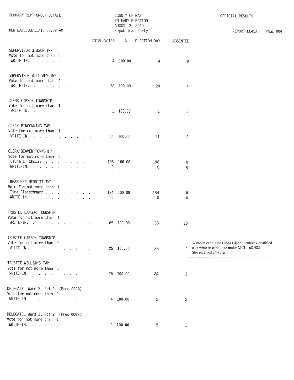| SUMMARY REPT-GROUP DETAIL<br>RUN DATE:08/11/10 08:32 AM                                           |  |  |              | COUNTY OF BAY<br>PRIMARY ELECTION<br>AUGUST 3, 2010<br>Republican Party |                     |                        | OFFICIAL RESULTS<br>REPORT-EL45A<br>PAGE 004                                                                               |
|---------------------------------------------------------------------------------------------------|--|--|--------------|-------------------------------------------------------------------------|---------------------|------------------------|----------------------------------------------------------------------------------------------------------------------------|
|                                                                                                   |  |  |              |                                                                         |                     | ABSENTEE               |                                                                                                                            |
| SUPERVISOR GIBSON TWP<br>Vote for not more than 1<br>WRITE-IN.                                    |  |  |              | 4 100.00                                                                | 4                   | $\mathbf{0}$           |                                                                                                                            |
| SUPERVISOR WILLIAMS TWP<br>Vote for not more than 1<br>WRITE-IN.                                  |  |  |              | 32 100.00                                                               | 28                  | 4                      |                                                                                                                            |
| CLERK GIBSON TOWNSHIP<br>Vote for not more than 1<br>WRITE-IN.                                    |  |  |              | 1 100.00                                                                | 1                   | $\mathbf 0$            |                                                                                                                            |
| CLERK PINCONNING TWP<br>Vote for not more than 1<br>WRITE IN. $\ldots$ $\ldots$ $\ldots$ $\ldots$ |  |  |              | 11 100.00                                                               | 11                  | 0                      |                                                                                                                            |
| CLERK BEAVER TOWNSHIP<br>Vote for not more than 1<br>Laura L. Chosay<br>WRITE-IN.                 |  |  | $\Omega$     | 196 100.00                                                              | 196<br>$\mathbf{0}$ | 0<br>$\Omega$          |                                                                                                                            |
| TREASURER MERRITT TWP<br>Vote for not more than 1<br>Tina Fleischmann<br>WRITE-IN.                |  |  | $\mathbf{0}$ | 184 100.00                                                              | 184<br>$\mathbf{0}$ | $^{0}$<br>$\mathbf{0}$ |                                                                                                                            |
| TRUSTEE BANGOR TOWNSHIP<br>Vote for not more than 1<br>WRITE-IN. $\cdots$ $\cdots$ $\cdots$       |  |  |              | 65 100.00                                                               | 55                  | 10                     |                                                                                                                            |
| TRUSTEE GIBSON TOWNSHIP<br>Vote for not more than 1<br>WRITE-IN.                                  |  |  |              | 25 100.00                                                               | 25                  | $\Omega$               | Write-in candidate Linda Diane Pieniozek qualified<br>as a write-in candidate under MCL 168.582.<br>She received 24 votes. |
| TRUSTEE WILLIAMS TWP<br>Vote for not more than 1<br>WRITE-IN.                                     |  |  |              | 26 100.00                                                               | 24                  | 2                      |                                                                                                                            |
| DELEGATE, Ward 3, Pct 1 (Prec-0008)<br>Vote for not more than 1<br>WRITE-IN.                      |  |  |              | 4 100.00                                                                | 2                   | 2                      |                                                                                                                            |
| DELEGATE, Ward 3, Pct 2 (Prec-0009)<br>Vote for not more than 1<br>WRITE-IN.                      |  |  |              | 9 100.00                                                                | 8                   | 1                      |                                                                                                                            |